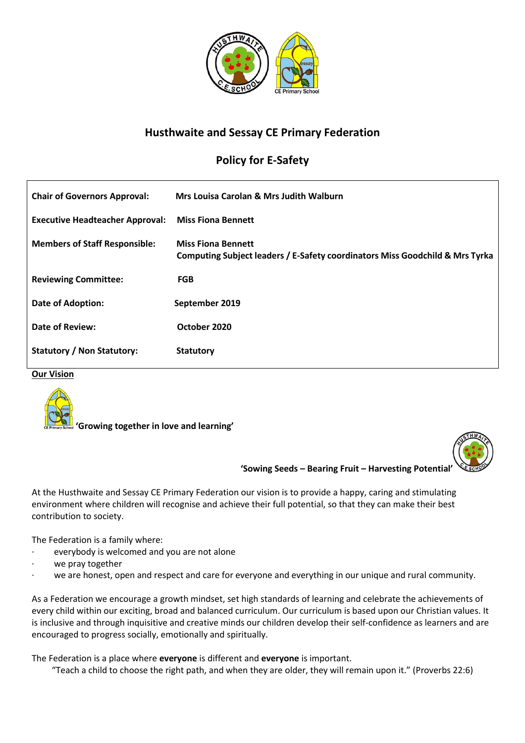

# **Husthwaite and Sessay CE Primary Federation**

# **Policy for E-Safety**

| <b>Chair of Governors Approval:</b>    | Mrs Louisa Carolan & Mrs Judith Walburn                                                                   |
|----------------------------------------|-----------------------------------------------------------------------------------------------------------|
| <b>Executive Headteacher Approval:</b> | <b>Miss Fiona Bennett</b>                                                                                 |
| <b>Members of Staff Responsible:</b>   | <b>Miss Fiona Bennett</b><br>Computing Subject leaders / E-Safety coordinators Miss Goodchild & Mrs Tyrka |
| <b>Reviewing Committee:</b>            | <b>FGB</b>                                                                                                |
| Date of Adoption:                      | September 2019                                                                                            |
| <b>Date of Review:</b>                 | October 2020                                                                                              |
| Statutory / Non Statutory:             | <b>Statutory</b>                                                                                          |

#### **Our Vision**



 **'Growing together in love and learning'**



**'Sowing Seeds – Bearing Fruit – Harvesting Potential'**

At the Husthwaite and Sessay CE Primary Federation our vision is to provide a happy, caring and stimulating environment where children will recognise and achieve their full potential, so that they can make their best contribution to society.

The Federation is a family where:

- everybody is welcomed and you are not alone
- we pray together
- we are honest, open and respect and care for everyone and everything in our unique and rural community.

As a Federation we encourage a growth mindset, set high standards of learning and celebrate the achievements of every child within our exciting, broad and balanced curriculum. Our curriculum is based upon our Christian values. It is inclusive and through inquisitive and creative minds our children develop their self-confidence as learners and are encouraged to progress socially, emotionally and spiritually.

The Federation is a place where **everyone** is different and **everyone** is important.

"Teach a child to choose the right path, and when they are older, they will remain upon it." (Proverbs 22:6)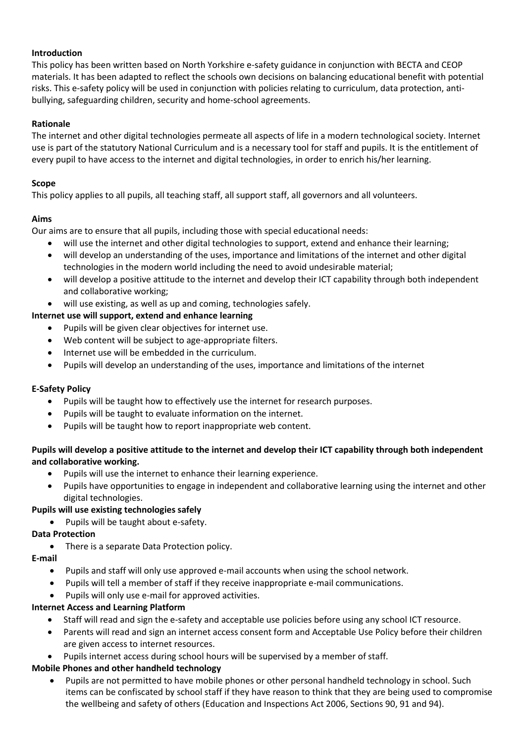## **Introduction**

This policy has been written based on North Yorkshire e-safety guidance in conjunction with BECTA and CEOP materials. It has been adapted to reflect the schools own decisions on balancing educational benefit with potential risks. This e-safety policy will be used in conjunction with policies relating to curriculum, data protection, antibullying, safeguarding children, security and home-school agreements.

## **Rationale**

The internet and other digital technologies permeate all aspects of life in a modern technological society. Internet use is part of the statutory National Curriculum and is a necessary tool for staff and pupils. It is the entitlement of every pupil to have access to the internet and digital technologies, in order to enrich his/her learning.

## **Scope**

This policy applies to all pupils, all teaching staff, all support staff, all governors and all volunteers.

### **Aims**

Our aims are to ensure that all pupils, including those with special educational needs:

- will use the internet and other digital technologies to support, extend and enhance their learning;
- will develop an understanding of the uses, importance and limitations of the internet and other digital technologies in the modern world including the need to avoid undesirable material;
- will develop a positive attitude to the internet and develop their ICT capability through both independent and collaborative working;
- will use existing, as well as up and coming, technologies safely.

### **Internet use will support, extend and enhance learning**

- Pupils will be given clear objectives for internet use.
- Web content will be subject to age-appropriate filters.
- Internet use will be embedded in the curriculum.
- Pupils will develop an understanding of the uses, importance and limitations of the internet

#### **E-Safety Policy**

- Pupils will be taught how to effectively use the internet for research purposes.
- Pupils will be taught to evaluate information on the internet.
- Pupils will be taught how to report inappropriate web content.

## **Pupils will develop a positive attitude to the internet and develop their ICT capability through both independent and collaborative working.**

- Pupils will use the internet to enhance their learning experience.
- Pupils have opportunities to engage in independent and collaborative learning using the internet and other digital technologies.

#### **Pupils will use existing technologies safely**

• Pupils will be taught about e-safety.

## **Data Protection**

• There is a separate Data Protection policy.

#### **E-mail**

- Pupils and staff will only use approved e-mail accounts when using the school network.
- Pupils will tell a member of staff if they receive inappropriate e-mail communications.
- Pupils will only use e-mail for approved activities.

#### **Internet Access and Learning Platform**

- Staff will read and sign the e-safety and acceptable use policies before using any school ICT resource.
- Parents will read and sign an internet access consent form and Acceptable Use Policy before their children are given access to internet resources.
- Pupils internet access during school hours will be supervised by a member of staff.

# **Mobile Phones and other handheld technology**

• Pupils are not permitted to have mobile phones or other personal handheld technology in school. Such items can be confiscated by school staff if they have reason to think that they are being used to compromise the wellbeing and safety of others (Education and Inspections Act 2006, Sections 90, 91 and 94).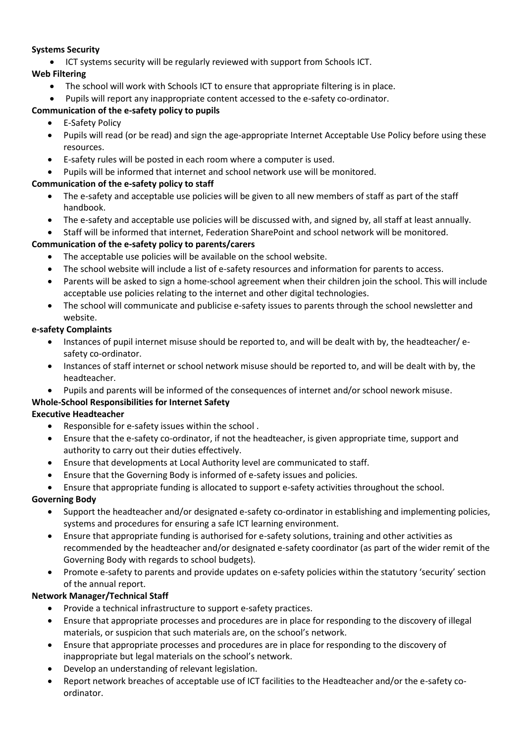## **Systems Security**

• ICT systems security will be regularly reviewed with support from Schools ICT.

## **Web Filtering**

- The school will work with Schools ICT to ensure that appropriate filtering is in place.
- Pupils will report any inappropriate content accessed to the e-safety co-ordinator.

# **Communication of the e-safety policy to pupils**

- E-Safety Policy
- Pupils will read (or be read) and sign the age-appropriate Internet Acceptable Use Policy before using these resources.
- E-safety rules will be posted in each room where a computer is used.
- Pupils will be informed that internet and school network use will be monitored.

# **Communication of the e-safety policy to staff**

- The e-safety and acceptable use policies will be given to all new members of staff as part of the staff handbook.
- The e-safety and acceptable use policies will be discussed with, and signed by, all staff at least annually.
- Staff will be informed that internet, Federation SharePoint and school network will be monitored.

# **Communication of the e-safety policy to parents/carers**

- The acceptable use policies will be available on the school website.
- The school website will include a list of e-safety resources and information for parents to access.
- Parents will be asked to sign a home-school agreement when their children join the school. This will include acceptable use policies relating to the internet and other digital technologies.
- The school will communicate and publicise e-safety issues to parents through the school newsletter and website.

## **e-safety Complaints**

- Instances of pupil internet misuse should be reported to, and will be dealt with by, the headteacher/ esafety co-ordinator.
- Instances of staff internet or school network misuse should be reported to, and will be dealt with by, the headteacher.
- Pupils and parents will be informed of the consequences of internet and/or school nework misuse.

# **Whole-School Responsibilities for Internet Safety**

# **Executive Headteacher**

- Responsible for e-safety issues within the school .
- Ensure that the e-safety co-ordinator, if not the headteacher, is given appropriate time, support and authority to carry out their duties effectively.
- Ensure that developments at Local Authority level are communicated to staff.
- Ensure that the Governing Body is informed of e-safety issues and policies.
- Ensure that appropriate funding is allocated to support e-safety activities throughout the school.

# **Governing Body**

- Support the headteacher and/or designated e-safety co-ordinator in establishing and implementing policies, systems and procedures for ensuring a safe ICT learning environment.
- Ensure that appropriate funding is authorised for e-safety solutions, training and other activities as recommended by the headteacher and/or designated e-safety coordinator (as part of the wider remit of the Governing Body with regards to school budgets).
- Promote e-safety to parents and provide updates on e-safety policies within the statutory 'security' section of the annual report.

# **Network Manager/Technical Staff**

- Provide a technical infrastructure to support e-safety practices.
- Ensure that appropriate processes and procedures are in place for responding to the discovery of illegal materials, or suspicion that such materials are, on the school's network.
- Ensure that appropriate processes and procedures are in place for responding to the discovery of inappropriate but legal materials on the school's network.
- Develop an understanding of relevant legislation.
- Report network breaches of acceptable use of ICT facilities to the Headteacher and/or the e-safety coordinator.